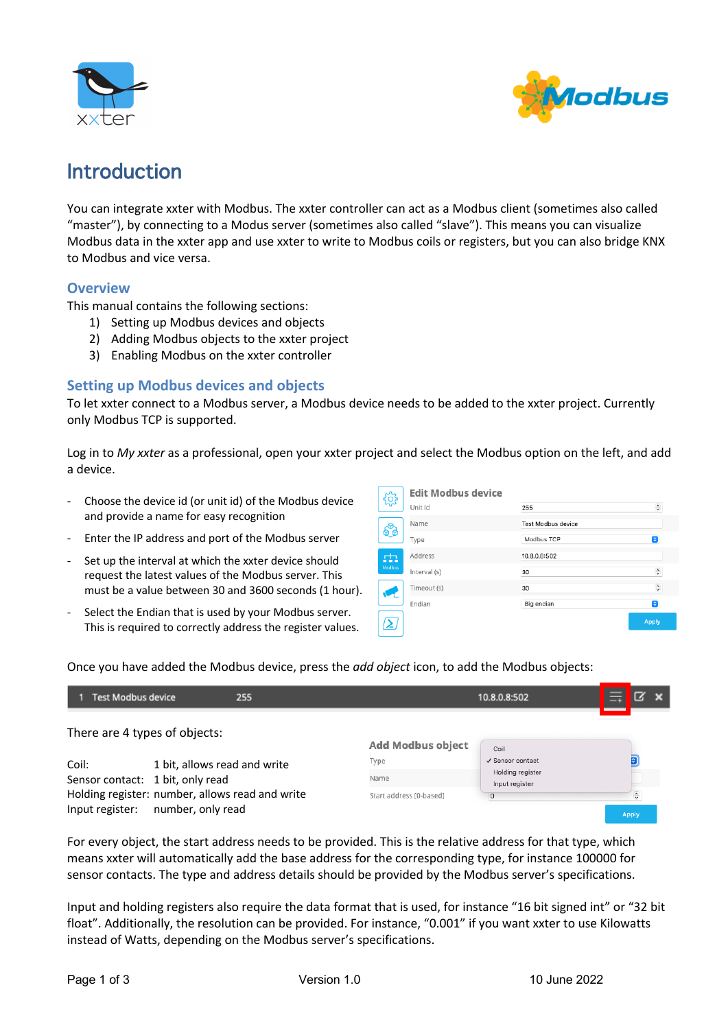



# Introduction

You can integrate xxter with Modbus. The xxter controller can act as a Modbus client (sometimes also called "master"), by connecting to a Modus server (sometimes also called "slave"). This means you can visualize Modbus data in the xxter app and use xxter to write to Modbus coils or registers, but you can also bridge KNX to Modbus and vice versa.

## **Overview**

This manual contains the following sections:

- 1) Setting up Modbus devices and objects
- 2) Adding Modbus objects to the xxter project
- 3) Enabling Modbus on the xxter controller

## **Setting up Modbus devices and objects**

To let xxter connect to a Modbus server, a Modbus device needs to be added to the xxter project. Currently only Modbus TCP is supported.

Log in to *My xxter* as a professional, open your xxter project and select the Modbus option on the left, and add a device.

- Choose the device id (or unit id) of the Modbus device and provide a name for easy recognition
- Enter the IP address and port of the Modbus server
- Set up the interval at which the xxter device should request the latest values of the Modbus server. This must be a value between 30 and 3600 seconds (1 hour).
- Select the Endian that is used by your Modbus server. This is required to correctly address the register values.

| ಥ್ವಿ      | <b>Edit Modbus device</b> |                           |               |  |  |
|-----------|---------------------------|---------------------------|---------------|--|--|
|           | Unit id                   | 255                       | $\hat{\cdot}$ |  |  |
| €         | Name                      | <b>Test Modbus device</b> |               |  |  |
|           | Type                      | Modbus TCP                | Θ             |  |  |
| ch.       | Address                   | 10.8.0.8:502              |               |  |  |
| Modbus    | Interval (s)              | 30                        | $\hat{\cdot}$ |  |  |
| <b>VE</b> | Timeout (s)               | 30                        | $\hat{\cdot}$ |  |  |
|           | Endian                    | Big endian                | Θ             |  |  |
| <u>(2</u> |                           |                           | <b>Apply</b>  |  |  |

Once you have added the Modbus device, press the *add object* icon, to add the Modbus objects:

| <b>Test Modbus device</b>                                                            | 255                           |                                    | 10.8.0.8:502     | 듴 | $\mathbf{x}$  |
|--------------------------------------------------------------------------------------|-------------------------------|------------------------------------|------------------|---|---------------|
|                                                                                      | There are 4 types of objects: | Add Modbus object                  | Coil             |   |               |
| Coil:                                                                                | 1 bit, allows read and write  | Type                               | √ Sensor contact |   | ¢             |
| Sensor contact: 1 bit, only read                                                     | Name                          | Holding register<br>Input register |                  |   |               |
| Holding register: number, allows read and write<br>Input register: number, only read |                               | Start address [0-based]            | $\circ$          |   | $\frac{1}{2}$ |
|                                                                                      |                               |                                    |                  |   | Apply         |

For every object, the start address needs to be provided. This is the relative address for that type, which means xxter will automatically add the base address for the corresponding type, for instance 100000 for sensor contacts. The type and address details should be provided by the Modbus server's specifications.

Input and holding registers also require the data format that is used, for instance "16 bit signed int" or "32 bit float". Additionally, the resolution can be provided. For instance, "0.001" if you want xxter to use Kilowatts instead of Watts, depending on the Modbus server's specifications.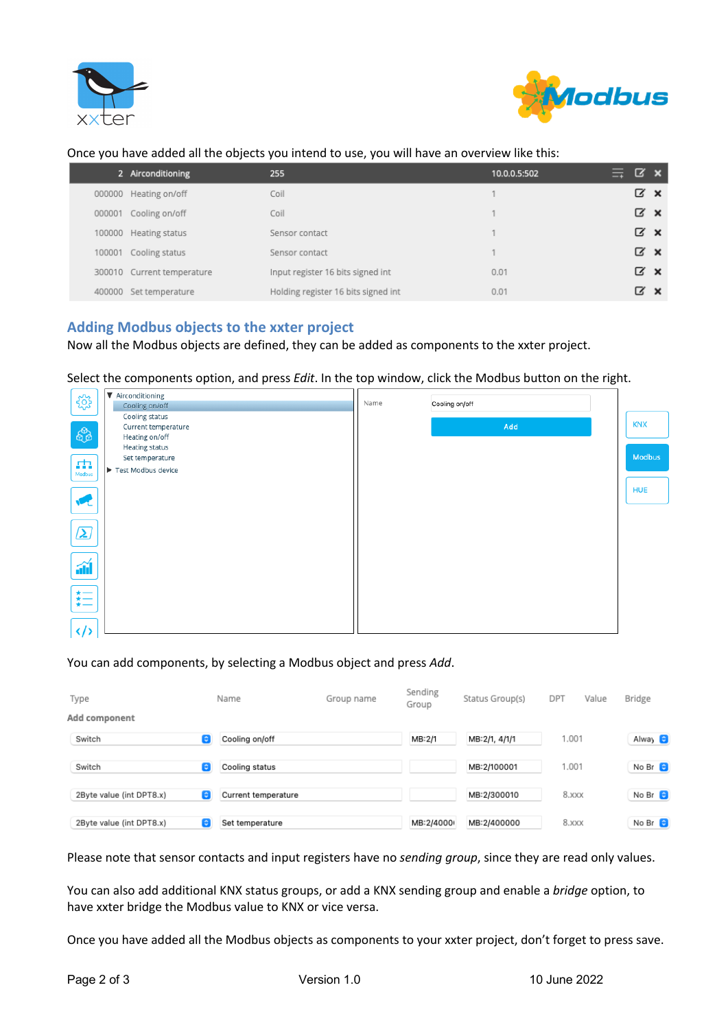



#### Once you have added all the objects you intend to use, you will have an overview like this:

|        | 2 Airconditioning          | 255                                 | 10.0.0.5:502 | $\equiv$ $\alpha$ x |                 |  |
|--------|----------------------------|-------------------------------------|--------------|---------------------|-----------------|--|
| 000000 | Heating on/off             | Coil                                |              |                     | $\alpha \times$ |  |
| 000001 | Cooling on/off             | Coil                                |              |                     | $\alpha \times$ |  |
| 100000 | Heating status             | Sensor contact                      |              |                     | $\alpha \times$ |  |
| 100001 | Cooling status             | Sensor contact                      |              |                     | $\alpha \times$ |  |
|        | 300010 Current temperature | Input register 16 bits signed int   | 0.01         |                     | $\alpha \times$ |  |
| 400000 | Set temperature            | Holding register 16 bits signed int | 0.01         |                     | α×              |  |

## **Adding Modbus objects to the xxter project**

Now all the Modbus objects are defined, they can be added as components to the xxter project.

Select the components option, and press *Edit*. In the top window, click the Modbus button on the right.



#### You can add components, by selecting a Modbus object and press *Add*.

| Type                     | Name                     | Group name | Sending<br>Group | Status Group(s) | DPT<br>Value | Bridge         |
|--------------------------|--------------------------|------------|------------------|-----------------|--------------|----------------|
| Add component            |                          |            |                  |                 |              |                |
| Switch                   | Cooling on/off<br>G.     |            | MB:2/1           | MB:2/1, 4/1/1   | 1.001        | Alway 8        |
| Switch                   | C.<br>Cooling status     |            |                  | MB:2/100001     | 1.001        | No Br $\odot$  |
| 2Byte value (int DPT8.x) | G<br>Current temperature |            |                  | MB:2/300010     | 8.XXX        | No Br $\Theta$ |
| 2Byte value (int DPT8.x) | G<br>Set temperature     |            | MB:2/4000        | MB:2/400000     | 8.XXX        | No Br $\odot$  |

Please note that sensor contacts and input registers have no *sending group*, since they are read only values.

You can also add additional KNX status groups, or add a KNX sending group and enable a *bridge* option, to have xxter bridge the Modbus value to KNX or vice versa.

Once you have added all the Modbus objects as components to your xxter project, don't forget to press save.